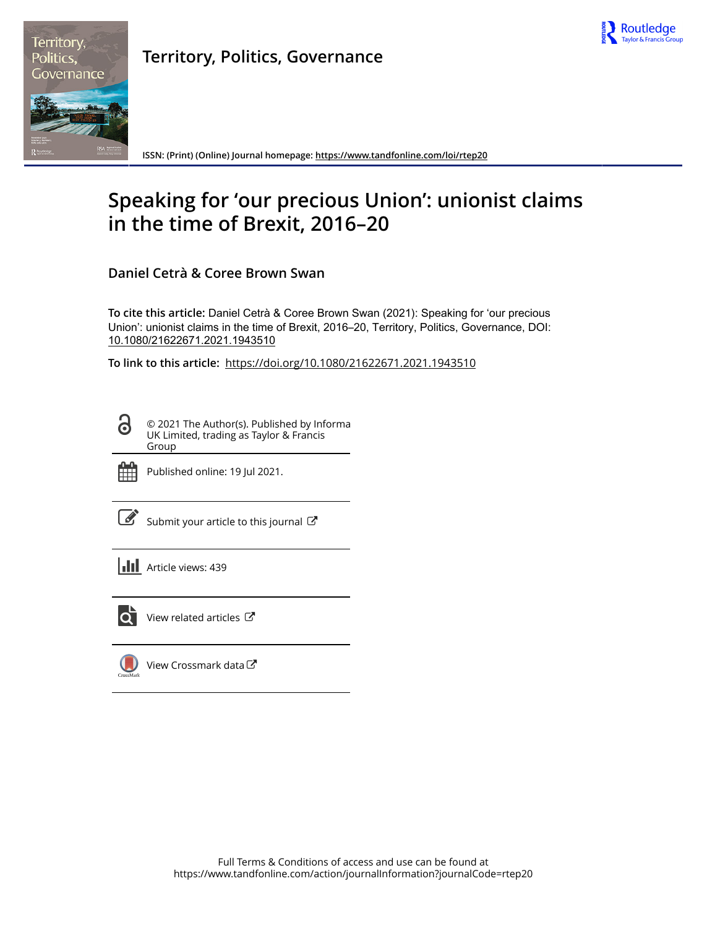



**Territory, Politics, Governance**

**ISSN: (Print) (Online) Journal homepage:<https://www.tandfonline.com/loi/rtep20>**

# **Speaking for 'our precious Union': unionist claims in the time of Brexit, 2016–20**

**Daniel Cetrà & Coree Brown Swan**

**To cite this article:** Daniel Cetrà & Coree Brown Swan (2021): Speaking for 'our precious Union': unionist claims in the time of Brexit, 2016–20, Territory, Politics, Governance, DOI: [10.1080/21622671.2021.1943510](https://www.tandfonline.com/action/showCitFormats?doi=10.1080/21622671.2021.1943510)

**To link to this article:** <https://doi.org/10.1080/21622671.2021.1943510>

© 2021 The Author(s). Published by Informa UK Limited, trading as Taylor & Francis Group



ര

Published online: 19 Jul 2021.

[Submit your article to this journal](https://www.tandfonline.com/action/authorSubmission?journalCode=rtep20&show=instructions)  $\mathbb{Z}$ 

**III** Article views: 439



 $\overline{Q}$  [View related articles](https://www.tandfonline.com/doi/mlt/10.1080/21622671.2021.1943510)  $\overline{C}$ 

[View Crossmark data](http://crossmark.crossref.org/dialog/?doi=10.1080/21622671.2021.1943510&domain=pdf&date_stamp=2021-07-19) $\mathbb{Z}$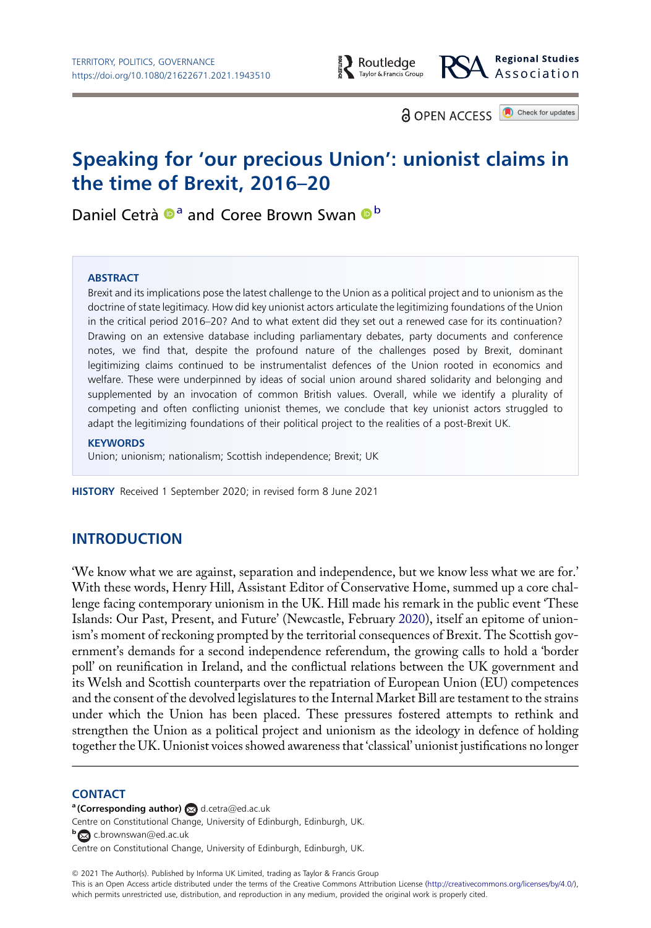

**a** OPEN ACCESS **a** Check for updates

# Speaking for 'our precious Union': unionist claims in the time of Brexit, 2016–20

Daniel Cetrà <sup>®</sup> and Coree Brown Swan <sup>®</sup>

#### **ABSTRACT**

Brexit and its implications pose the latest challenge to the Union as a political project and to unionism as the doctrine of state legitimacy. How did key unionist actors articulate the legitimizing foundations of the Union in the critical period 2016–20? And to what extent did they set out a renewed case for its continuation? Drawing on an extensive database including parliamentary debates, party documents and conference notes, we find that, despite the profound nature of the challenges posed by Brexit, dominant legitimizing claims continued to be instrumentalist defences of the Union rooted in economics and welfare. These were underpinned by ideas of social union around shared solidarity and belonging and supplemented by an invocation of common British values. Overall, while we identify a plurality of competing and often conflicting unionist themes, we conclude that key unionist actors struggled to adapt the legitimizing foundations of their political project to the realities of a post-Brexit UK.

#### **KEYWORDS**

Union; unionism; nationalism; Scottish independence; Brexit; UK

HISTORY Received 1 September 2020; in revised form 8 June 2021

# INTRODUCTION

<span id="page-1-0"></span>'We know what we are against, separation and independence, but we know less what we are for.' With these words, Henry Hill, Assistant Editor of Conservative Home, summed up a core challenge facing contemporary unionism in the UK. Hill made his remark in the public event 'These Islands: Our Past, Present, and Future' (Newcastle, February [2020](#page-14-0)), itself an epitome of unionism's moment of reckoning prompted by the territorial consequences of Brexit. The Scottish government's demands for a second independence referendum, the growing calls to hold a 'border poll' on reunification in Ireland, and the conflictual relations between the UK government and its Welsh and Scottish counterparts over the repatriation of European Union (EU) competences and the consent of the devolved legislatures to the Internal Market Bill are testament to the strains under which the Union has been placed. These pressures fostered attempts to rethink and strengthen the Union as a political project and unionism as the ideology in defence of holding together the UK. Unionist voices showed awareness that 'classical' unionist justifications no longer

#### **CONTACT**

a (Corresponding author) a [d.cetra@ed.ac.uk](mailto:d.cetra@ed.ac.uk) Centre on Constitutional Change, University of Edinburgh, Edinburgh, UK. **b** [c.brownswan@ed.ac.uk](mailto:c.brownswan@ed.ac.uk) Centre on Constitutional Change, University of Edinburgh, Edinburgh, UK.

© 2021 The Author(s). Published by Informa UK Limited, trading as Taylor & Francis Group

This is an Open Access article distributed under the terms of the Creative Commons Attribution License [\(http://creativecommons.org/licenses/by/4.0/](http://creativecommons.org/licenses/by/4.0/)), which permits unrestricted use, distribution, and reproduction in any medium, provided the original work is properly cited.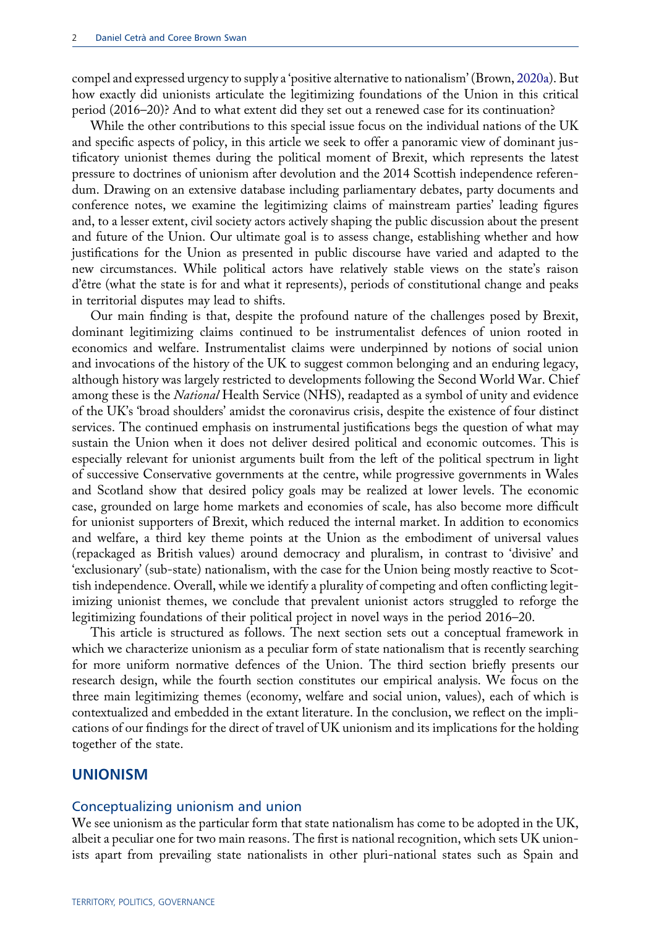<span id="page-2-0"></span>compel and expressed urgency to supply a 'positive alternative to nationalism' (Brown, [2020a](#page-14-1)). But how exactly did unionists articulate the legitimizing foundations of the Union in this critical period (2016–20)? And to what extent did they set out a renewed case for its continuation?

While the other contributions to this special issue focus on the individual nations of the UK and specific aspects of policy, in this article we seek to offer a panoramic view of dominant justificatory unionist themes during the political moment of Brexit, which represents the latest pressure to doctrines of unionism after devolution and the 2014 Scottish independence referendum. Drawing on an extensive database including parliamentary debates, party documents and conference notes, we examine the legitimizing claims of mainstream parties' leading figures and, to a lesser extent, civil society actors actively shaping the public discussion about the present and future of the Union. Our ultimate goal is to assess change, establishing whether and how justifications for the Union as presented in public discourse have varied and adapted to the new circumstances. While political actors have relatively stable views on the state's raison d'être (what the state is for and what it represents), periods of constitutional change and peaks in territorial disputes may lead to shifts.

Our main finding is that, despite the profound nature of the challenges posed by Brexit, dominant legitimizing claims continued to be instrumentalist defences of union rooted in economics and welfare. Instrumentalist claims were underpinned by notions of social union and invocations of the history of the UK to suggest common belonging and an enduring legacy, although history was largely restricted to developments following the Second World War. Chief among these is the National Health Service (NHS), readapted as a symbol of unity and evidence of the UK's 'broad shoulders' amidst the coronavirus crisis, despite the existence of four distinct services. The continued emphasis on instrumental justifications begs the question of what may sustain the Union when it does not deliver desired political and economic outcomes. This is especially relevant for unionist arguments built from the left of the political spectrum in light of successive Conservative governments at the centre, while progressive governments in Wales and Scotland show that desired policy goals may be realized at lower levels. The economic case, grounded on large home markets and economies of scale, has also become more difficult for unionist supporters of Brexit, which reduced the internal market. In addition to economics and welfare, a third key theme points at the Union as the embodiment of universal values (repackaged as British values) around democracy and pluralism, in contrast to 'divisive' and 'exclusionary' (sub-state) nationalism, with the case for the Union being mostly reactive to Scottish independence. Overall, while we identify a plurality of competing and often conflicting legitimizing unionist themes, we conclude that prevalent unionist actors struggled to reforge the legitimizing foundations of their political project in novel ways in the period 2016–20.

This article is structured as follows. The next section sets out a conceptual framework in which we characterize unionism as a peculiar form of state nationalism that is recently searching for more uniform normative defences of the Union. The third section briefly presents our research design, while the fourth section constitutes our empirical analysis. We focus on the three main legitimizing themes (economy, welfare and social union, values), each of which is contextualized and embedded in the extant literature. In the conclusion, we reflect on the implications of our findings for the direct of travel of UK unionism and its implications for the holding together of the state.

#### UNIONISM

#### Conceptualizing unionism and union

We see unionism as the particular form that state nationalism has come to be adopted in the UK, albeit a peculiar one for two main reasons. The first is national recognition, which sets UK unionists apart from prevailing state nationalists in other pluri-national states such as Spain and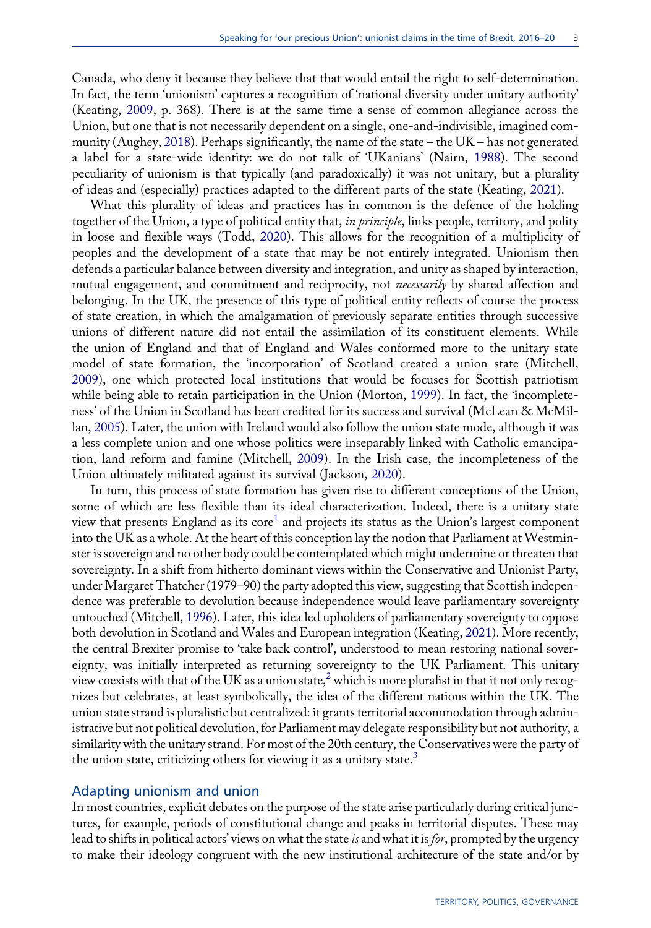<span id="page-3-1"></span>Canada, who deny it because they believe that that would entail the right to self-determination. In fact, the term 'unionism' captures a recognition of 'national diversity under unitary authority' (Keating, [2009](#page-14-2), p. 368). There is at the same time a sense of common allegiance across the Union, but one that is not necessarily dependent on a single, one-and-indivisible, imagined community (Aughey, [2018](#page-14-3)). Perhaps significantly, the name of the state – the UK – has not generated a label for a state-wide identity: we do not talk of 'UKanians' (Nairn, [1988](#page-15-0)). The second peculiarity of unionism is that typically (and paradoxically) it was not unitary, but a plurality of ideas and (especially) practices adapted to the different parts of the state (Keating, [2021](#page-14-4)).

<span id="page-3-8"></span><span id="page-3-7"></span>What this plurality of ideas and practices has in common is the defence of the holding together of the Union, a type of political entity that, in principle, links people, territory, and polity in loose and flexible ways (Todd, [2020](#page-15-1)). This allows for the recognition of a multiplicity of peoples and the development of a state that may be not entirely integrated. Unionism then defends a particular balance between diversity and integration, and unity as shaped by interaction, mutual engagement, and commitment and reciprocity, not necessarily by shared affection and belonging. In the UK, the presence of this type of political entity reflects of course the process of state creation, in which the amalgamation of previously separate entities through successive unions of different nature did not entail the assimilation of its constituent elements. While the union of England and that of England and Wales conformed more to the unitary state model of state formation, the 'incorporation' of Scotland created a union state (Mitchell, [2009\)](#page-15-2), one which protected local institutions that would be focuses for Scottish patriotism while being able to retain participation in the Union (Morton, [1999](#page-15-3)). In fact, the 'incompleteness' of the Union in Scotland has been credited for its success and survival (McLean & McMillan, [2005\)](#page-15-4). Later, the union with Ireland would also follow the union state mode, although it was a less complete union and one whose politics were inseparably linked with Catholic emancipation, land reform and famine (Mitchell, [2009](#page-15-2)). In the Irish case, the incompleteness of the Union ultimately militated against its survival (Jackson, [2020\)](#page-14-5).

<span id="page-3-6"></span><span id="page-3-5"></span><span id="page-3-4"></span><span id="page-3-3"></span><span id="page-3-2"></span><span id="page-3-0"></span>In turn, this process of state formation has given rise to different conceptions of the Union, some of which are less flexible than its ideal characterization. Indeed, there is a unitary state view that presents England as its  $\text{core}^1$  and projects its status as the Union's largest component into the UK as a whole. At the heart of this conception lay the notion that Parliament at Westminster is sovereign and no other body could be contemplated which might undermine or threaten that sovereignty. In a shift from hitherto dominant views within the Conservative and Unionist Party, under Margaret Thatcher (1979–90) the party adopted this view, suggesting that Scottish independence was preferable to devolution because independence would leave parliamentary sovereignty untouched (Mitchell, [1996](#page-15-5)). Later, this idea led upholders of parliamentary sovereignty to oppose both devolution in Scotland and Wales and European integration (Keating, [2021\)](#page-14-4). More recently, the central Brexiter promise to 'take back control', understood to mean restoring national sovereignty, was initially interpreted as returning sovereignty to the UK Parliament. This unitary view coexists with that of the UK as a union state,<sup>2</sup> which is more pluralist in that it not only recognizes but celebrates, at least symbolically, the idea of the different nations within the UK. The union state strand is pluralistic but centralized: it grants territorial accommodation through administrative but not political devolution, for Parliament may delegate responsibility but not authority, a similarity with the unitary strand. For most of the 20th century, the Conservatives were the party of the union state, criticizing others for viewing it as a unitary state. $3$ 

#### Adapting unionism and union

In most countries, explicit debates on the purpose of the state arise particularly during critical junctures, for example, periods of constitutional change and peaks in territorial disputes. These may lead to shifts in political actors' views on what the state is and what it is for, prompted by the urgency to make their ideology congruent with the new institutional architecture of the state and/or by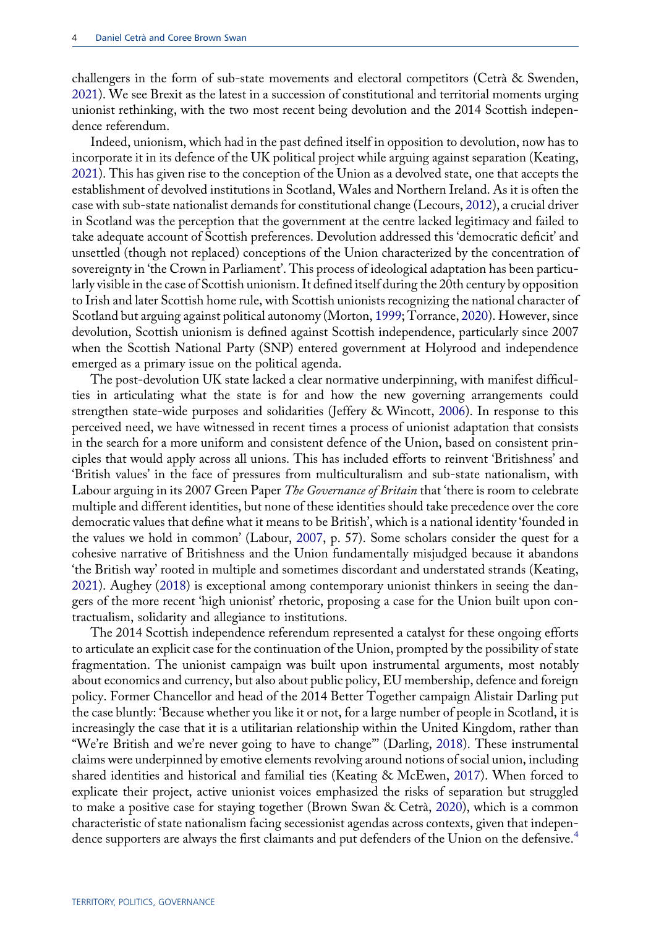<span id="page-4-1"></span>challengers in the form of sub-state movements and electoral competitors (Cetrà & Swenden, [2021](#page-14-6)). We see Brexit as the latest in a succession of constitutional and territorial moments urging unionist rethinking, with the two most recent being devolution and the 2014 Scottish independence referendum.

<span id="page-4-6"></span>Indeed, unionism, which had in the past defined itself in opposition to devolution, now has to incorporate it in its defence of the UK political project while arguing against separation (Keating, [2021\)](#page-14-4). This has given rise to the conception of the Union as a devolved state, one that accepts the establishment of devolved institutions in Scotland, Wales and Northern Ireland. As it is often the case with sub-state nationalist demands for constitutional change (Lecours, [2012](#page-14-7)), a crucial driver in Scotland was the perception that the government at the centre lacked legitimacy and failed to take adequate account of Scottish preferences. Devolution addressed this 'democratic deficit' and unsettled (though not replaced) conceptions of the Union characterized by the concentration of sovereignty in 'the Crown in Parliament'. This process of ideological adaptation has been particularly visible in the case of Scottish unionism. It defined itself during the 20th century by opposition to Irish and later Scottish home rule, with Scottish unionists recognizing the national character of Scotland but arguing against political autonomy (Morton, [1999](#page-15-3); Torrance, [2020\)](#page-15-6). However, since devolution, Scottish unionism is defined against Scottish independence, particularly since 2007 when the Scottish National Party (SNP) entered government at Holyrood and independence emerged as a primary issue on the political agenda.

<span id="page-4-7"></span><span id="page-4-3"></span>The post-devolution UK state lacked a clear normative underpinning, with manifest difficulties in articulating what the state is for and how the new governing arrangements could strengthen state-wide purposes and solidarities (Jeffery & Wincott, [2006\)](#page-14-8). In response to this perceived need, we have witnessed in recent times a process of unionist adaptation that consists in the search for a more uniform and consistent defence of the Union, based on consistent principles that would apply across all unions. This has included efforts to reinvent 'Britishness' and 'British values' in the face of pressures from multiculturalism and sub-state nationalism, with Labour arguing in its 2007 Green Paper The Governance of Britain that 'there is room to celebrate multiple and different identities, but none of these identities should take precedence over the core democratic values that define what it means to be British', which is a national identity 'founded in the values we hold in common' (Labour, [2007,](#page-14-9) p. 57). Some scholars consider the quest for a cohesive narrative of Britishness and the Union fundamentally misjudged because it abandons 'the British way' rooted in multiple and sometimes discordant and understated strands (Keating, [2021\)](#page-14-4). Aughey [\(2018](#page-14-3)) is exceptional among contemporary unionist thinkers in seeing the dangers of the more recent 'high unionist' rhetoric, proposing a case for the Union built upon contractualism, solidarity and allegiance to institutions.

<span id="page-4-5"></span><span id="page-4-4"></span><span id="page-4-2"></span><span id="page-4-0"></span>The 2014 Scottish independence referendum represented a catalyst for these ongoing efforts to articulate an explicit case for the continuation of the Union, prompted by the possibility of state fragmentation. The unionist campaign was built upon instrumental arguments, most notably about economics and currency, but also about public policy, EU membership, defence and foreign policy. Former Chancellor and head of the 2014 Better Together campaign Alistair Darling put the case bluntly: 'Because whether you like it or not, for a large number of people in Scotland, it is increasingly the case that it is a utilitarian relationship within the United Kingdom, rather than "We're British and we're never going to have to change"' (Darling, [2018\)](#page-14-10). These instrumental claims were underpinned by emotive elements revolving around notions of social union, including shared identities and historical and familial ties (Keating & McEwen, [2017](#page-14-11)). When forced to explicate their project, active unionist voices emphasized the risks of separation but struggled to make a positive case for staying together (Brown Swan & Cetrà, [2020](#page-14-12)), which is a common characteristic of state nationalism facing secessionist agendas across contexts, given that indepen-dence supporters are always the first claimants and put defenders of the Union on the defensive.<sup>[4](#page-13-3)</sup>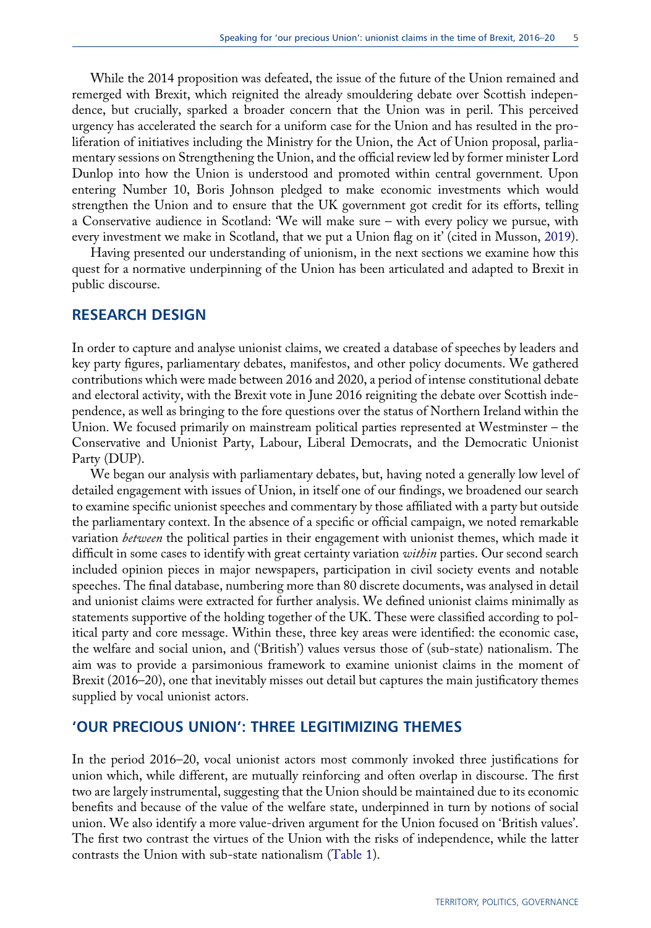While the 2014 proposition was defeated, the issue of the future of the Union remained and remerged with Brexit, which reignited the already smouldering debate over Scottish independence, but crucially, sparked a broader concern that the Union was in peril. This perceived urgency has accelerated the search for a uniform case for the Union and has resulted in the proliferation of initiatives including the Ministry for the Union, the Act of Union proposal, parliamentary sessions on Strengthening the Union, and the official review led by former minister Lord Dunlop into how the Union is understood and promoted within central government. Upon entering Number 10, Boris Johnson pledged to make economic investments which would strengthen the Union and to ensure that the UK government got credit for its efforts, telling a Conservative audience in Scotland: 'We will make sure – with every policy we pursue, with every investment we make in Scotland, that we put a Union flag on it' (cited in Musson, [2019\)](#page-15-7).

<span id="page-5-0"></span>Having presented our understanding of unionism, in the next sections we examine how this quest for a normative underpinning of the Union has been articulated and adapted to Brexit in public discourse.

## RESEARCH DESIGN

In order to capture and analyse unionist claims, we created a database of speeches by leaders and key party figures, parliamentary debates, manifestos, and other policy documents. We gathered contributions which were made between 2016 and 2020, a period of intense constitutional debate and electoral activity, with the Brexit vote in June 2016 reigniting the debate over Scottish independence, as well as bringing to the fore questions over the status of Northern Ireland within the Union. We focused primarily on mainstream political parties represented at Westminster – the Conservative and Unionist Party, Labour, Liberal Democrats, and the Democratic Unionist Party (DUP).

We began our analysis with parliamentary debates, but, having noted a generally low level of detailed engagement with issues of Union, in itself one of our findings, we broadened our search to examine specific unionist speeches and commentary by those affiliated with a party but outside the parliamentary context. In the absence of a specific or official campaign, we noted remarkable variation between the political parties in their engagement with unionist themes, which made it difficult in some cases to identify with great certainty variation within parties. Our second search included opinion pieces in major newspapers, participation in civil society events and notable speeches. The final database, numbering more than 80 discrete documents, was analysed in detail and unionist claims were extracted for further analysis. We defined unionist claims minimally as statements supportive of the holding together of the UK. These were classified according to political party and core message. Within these, three key areas were identified: the economic case, the welfare and social union, and ('British') values versus those of (sub-state) nationalism. The aim was to provide a parsimonious framework to examine unionist claims in the moment of Brexit (2016–20), one that inevitably misses out detail but captures the main justificatory themes supplied by vocal unionist actors.

# 'OUR PRECIOUS UNION': THREE LEGITIMIZING THEMES

In the period 2016–20, vocal unionist actors most commonly invoked three justifications for union which, while different, are mutually reinforcing and often overlap in discourse. The first two are largely instrumental, suggesting that the Union should be maintained due to its economic benefits and because of the value of the welfare state, underpinned in turn by notions of social union. We also identify a more value-driven argument for the Union focused on 'British values'. The first two contrast the virtues of the Union with the risks of independence, while the latter contrasts the Union with sub-state nationalism [\(Table 1](#page-6-0)).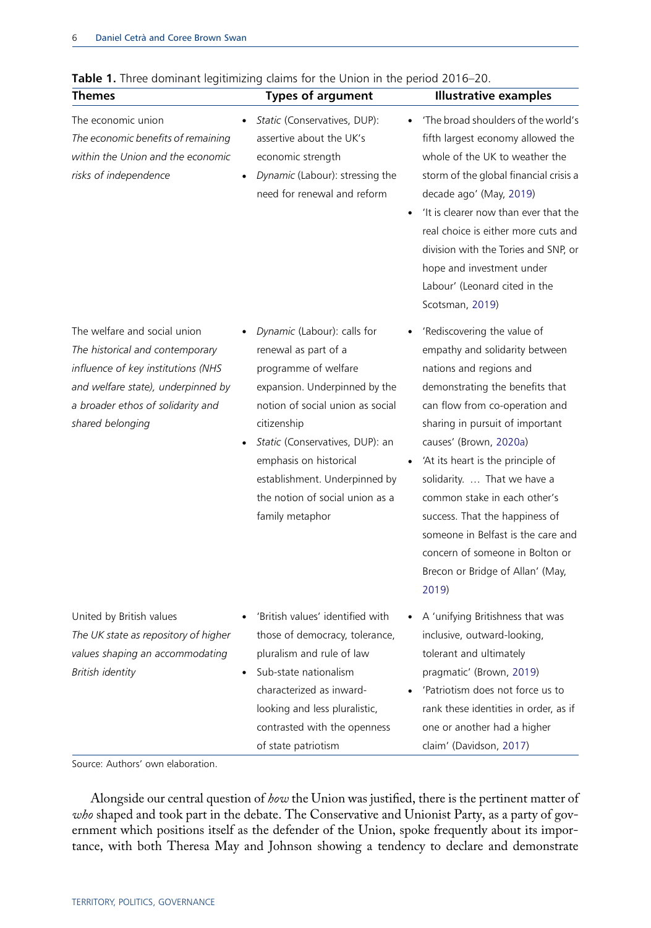<span id="page-6-0"></span>

| Table 1. Three dominant legitimizing claims for the Union in the period 2016-20.                                                                                                                     |                                                                                                                                                                                                                                                                                                                     |                                                                                                                                                                                                                                                                                                                                                                                                                                                                                        |
|------------------------------------------------------------------------------------------------------------------------------------------------------------------------------------------------------|---------------------------------------------------------------------------------------------------------------------------------------------------------------------------------------------------------------------------------------------------------------------------------------------------------------------|----------------------------------------------------------------------------------------------------------------------------------------------------------------------------------------------------------------------------------------------------------------------------------------------------------------------------------------------------------------------------------------------------------------------------------------------------------------------------------------|
| <b>Themes</b>                                                                                                                                                                                        | <b>Types of argument</b>                                                                                                                                                                                                                                                                                            | <b>Illustrative examples</b>                                                                                                                                                                                                                                                                                                                                                                                                                                                           |
| The economic union<br>The economic benefits of remaining<br>within the Union and the economic<br>risks of independence                                                                               | Static (Conservatives, DUP):<br>assertive about the UK's<br>economic strength<br>Dynamic (Labour): stressing the<br>need for renewal and reform                                                                                                                                                                     | 'The broad shoulders of the world's<br>fifth largest economy allowed the<br>whole of the UK to weather the<br>storm of the global financial crisis a<br>decade ago' (May, 2019)<br>'It is clearer now than ever that the<br>real choice is either more cuts and<br>division with the Tories and SNP, or<br>hope and investment under<br>Labour' (Leonard cited in the<br>Scotsman, 2019)                                                                                               |
| The welfare and social union<br>The historical and contemporary<br>influence of key institutions (NHS<br>and welfare state), underpinned by<br>a broader ethos of solidarity and<br>shared belonging | Dynamic (Labour): calls for<br>renewal as part of a<br>programme of welfare<br>expansion. Underpinned by the<br>notion of social union as social<br>citizenship<br>Static (Conservatives, DUP): an<br>emphasis on historical<br>establishment. Underpinned by<br>the notion of social union as a<br>family metaphor | 'Rediscovering the value of<br>empathy and solidarity between<br>nations and regions and<br>demonstrating the benefits that<br>can flow from co-operation and<br>sharing in pursuit of important<br>causes' (Brown, 2020a)<br>'At its heart is the principle of<br>solidarity.  That we have a<br>common stake in each other's<br>success. That the happiness of<br>someone in Belfast is the care and<br>concern of someone in Bolton or<br>Brecon or Bridge of Allan' (May,<br>2019) |
| United by British values<br>The UK state as repository of higher<br>values shaping an accommodating<br>British identity                                                                              | 'British values' identified with<br>those of democracy, tolerance,<br>pluralism and rule of law<br>Sub-state nationalism<br>characterized as inward-<br>looking and less pluralistic,<br>contrasted with the openness<br>of state patriotism                                                                        | A 'unifying Britishness that was<br>inclusive, outward-looking,<br>tolerant and ultimately<br>pragmatic' (Brown, 2019)<br>'Patriotism does not force us to<br>rank these identities in order, as if<br>one or another had a higher<br>claim' (Davidson, 2017)                                                                                                                                                                                                                          |

<span id="page-6-4"></span>

<span id="page-6-3"></span><span id="page-6-2"></span><span id="page-6-1"></span>Source: Authors' own elaboration.

Alongside our central question of how the Union was justified, there is the pertinent matter of who shaped and took part in the debate. The Conservative and Unionist Party, as a party of government which positions itself as the defender of the Union, spoke frequently about its importance, with both Theresa May and Johnson showing a tendency to declare and demonstrate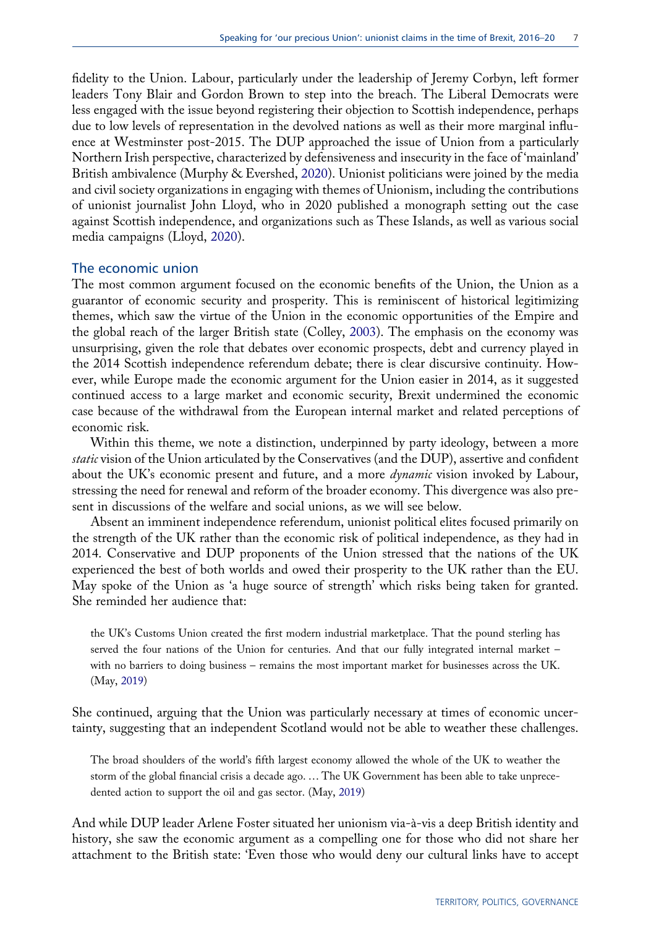<span id="page-7-2"></span>fidelity to the Union. Labour, particularly under the leadership of Jeremy Corbyn, left former leaders Tony Blair and Gordon Brown to step into the breach. The Liberal Democrats were less engaged with the issue beyond registering their objection to Scottish independence, perhaps due to low levels of representation in the devolved nations as well as their more marginal influence at Westminster post-2015. The DUP approached the issue of Union from a particularly Northern Irish perspective, characterized by defensiveness and insecurity in the face of 'mainland' British ambivalence (Murphy & Evershed, [2020](#page-15-10)). Unionist politicians were joined by the media and civil society organizations in engaging with themes of Unionism, including the contributions of unionist journalist John Lloyd, who in 2020 published a monograph setting out the case against Scottish independence, and organizations such as These Islands, as well as various social media campaigns (Lloyd, [2020\)](#page-14-15).

#### <span id="page-7-1"></span>The economic union

<span id="page-7-0"></span>The most common argument focused on the economic benefits of the Union, the Union as a guarantor of economic security and prosperity. This is reminiscent of historical legitimizing themes, which saw the virtue of the Union in the economic opportunities of the Empire and the global reach of the larger British state (Colley, [2003](#page-14-16)). The emphasis on the economy was unsurprising, given the role that debates over economic prospects, debt and currency played in the 2014 Scottish independence referendum debate; there is clear discursive continuity. However, while Europe made the economic argument for the Union easier in 2014, as it suggested continued access to a large market and economic security, Brexit undermined the economic case because of the withdrawal from the European internal market and related perceptions of economic risk.

Within this theme, we note a distinction, underpinned by party ideology, between a more static vision of the Union articulated by the Conservatives (and the DUP), assertive and confident about the UK's economic present and future, and a more *dynamic* vision invoked by Labour, stressing the need for renewal and reform of the broader economy. This divergence was also present in discussions of the welfare and social unions, as we will see below.

Absent an imminent independence referendum, unionist political elites focused primarily on the strength of the UK rather than the economic risk of political independence, as they had in 2014. Conservative and DUP proponents of the Union stressed that the nations of the UK experienced the best of both worlds and owed their prosperity to the UK rather than the EU. May spoke of the Union as 'a huge source of strength' which risks being taken for granted. She reminded her audience that:

the UK's Customs Union created the first modern industrial marketplace. That the pound sterling has served the four nations of the Union for centuries. And that our fully integrated internal market – with no barriers to doing business – remains the most important market for businesses across the UK. (May, [2019\)](#page-15-8)

She continued, arguing that the Union was particularly necessary at times of economic uncertainty, suggesting that an independent Scotland would not be able to weather these challenges.

The broad shoulders of the world's fifth largest economy allowed the whole of the UK to weather the storm of the global financial crisis a decade ago. … The UK Government has been able to take unprecedented action to support the oil and gas sector. (May, [2019\)](#page-15-8)

And while DUP leader Arlene Foster situated her unionism via-à-vis a deep British identity and history, she saw the economic argument as a compelling one for those who did not share her attachment to the British state: 'Even those who would deny our cultural links have to accept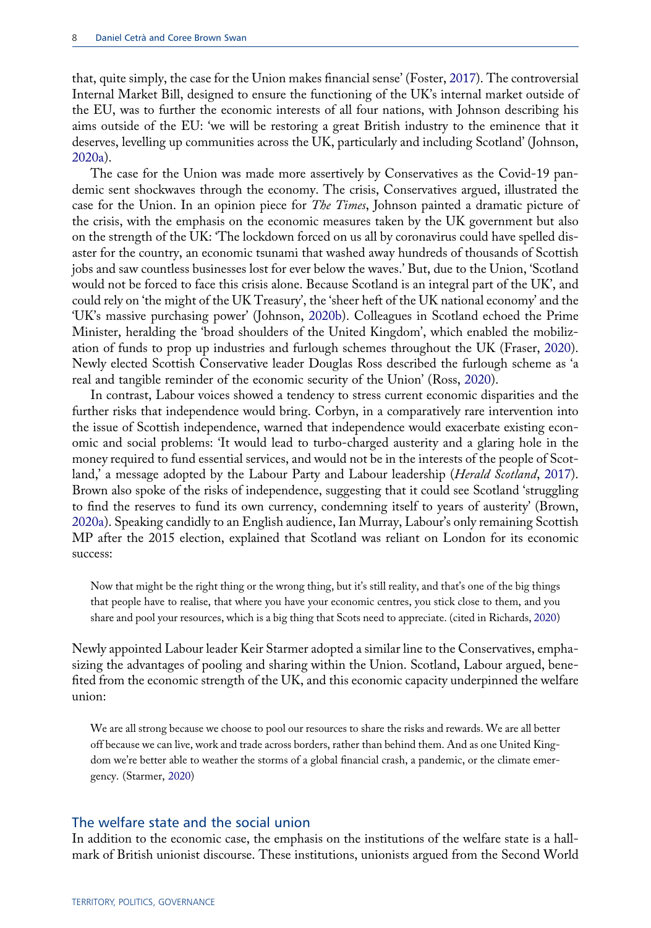<span id="page-8-0"></span>that, quite simply, the case for the Union makes financial sense' (Foster, [2017\)](#page-14-17). The controversial Internal Market Bill, designed to ensure the functioning of the UK's internal market outside of the EU, was to further the economic interests of all four nations, with Johnson describing his aims outside of the EU: 'we will be restoring a great British industry to the eminence that it deserves, levelling up communities across the UK, particularly and including Scotland' (Johnson, [2020a\)](#page-14-18).

<span id="page-8-3"></span>The case for the Union was made more assertively by Conservatives as the Covid-19 pandemic sent shockwaves through the economy. The crisis, Conservatives argued, illustrated the case for the Union. In an opinion piece for *The Times*, Johnson painted a dramatic picture of the crisis, with the emphasis on the economic measures taken by the UK government but also on the strength of the UK: 'The lockdown forced on us all by coronavirus could have spelled disaster for the country, an economic tsunami that washed away hundreds of thousands of Scottish jobs and saw countless businesses lost for ever below the waves.' But, due to the Union, 'Scotland would not be forced to face this crisis alone. Because Scotland is an integral part of the UK', and could rely on 'the might of the UK Treasury', the 'sheer heft of the UK national economy' and the 'UK's massive purchasing power' (Johnson, [2020b](#page-14-19)). Colleagues in Scotland echoed the Prime Minister, heralding the 'broad shoulders of the United Kingdom', which enabled the mobilization of funds to prop up industries and furlough schemes throughout the UK (Fraser, [2020\)](#page-14-20). Newly elected Scottish Conservative leader Douglas Ross described the furlough scheme as 'a real and tangible reminder of the economic security of the Union' (Ross, [2020](#page-15-11)).

<span id="page-8-6"></span><span id="page-8-4"></span><span id="page-8-2"></span><span id="page-8-1"></span>In contrast, Labour voices showed a tendency to stress current economic disparities and the further risks that independence would bring. Corbyn, in a comparatively rare intervention into the issue of Scottish independence, warned that independence would exacerbate existing economic and social problems: 'It would lead to turbo-charged austerity and a glaring hole in the money required to fund essential services, and would not be in the interests of the people of Scot-land,' a message adopted by the Labour Party and Labour leadership (Herald Scotland, [2017\)](#page-14-21). Brown also spoke of the risks of independence, suggesting that it could see Scotland 'struggling to find the reserves to fund its own currency, condemning itself to years of austerity' (Brown, [2020a\)](#page-14-1). Speaking candidly to an English audience, Ian Murray, Labour's only remaining Scottish MP after the 2015 election, explained that Scotland was reliant on London for its economic success:

<span id="page-8-5"></span>Now that might be the right thing or the wrong thing, but it's still reality, and that's one of the big things that people have to realise, that where you have your economic centres, you stick close to them, and you share and pool your resources, which is a big thing that Scots need to appreciate. (cited in Richards, [2020\)](#page-15-12)

Newly appointed Labour leader Keir Starmer adopted a similar line to the Conservatives, emphasizing the advantages of pooling and sharing within the Union. Scotland, Labour argued, benefited from the economic strength of the UK, and this economic capacity underpinned the welfare union:

<span id="page-8-7"></span>We are all strong because we choose to pool our resources to share the risks and rewards. We are all better off because we can live, work and trade across borders, rather than behind them. And as one United Kingdom we're better able to weather the storms of a global financial crash, a pandemic, or the climate emergency. (Starmer, [2020\)](#page-15-13)

#### The welfare state and the social union

In addition to the economic case, the emphasis on the institutions of the welfare state is a hallmark of British unionist discourse. These institutions, unionists argued from the Second World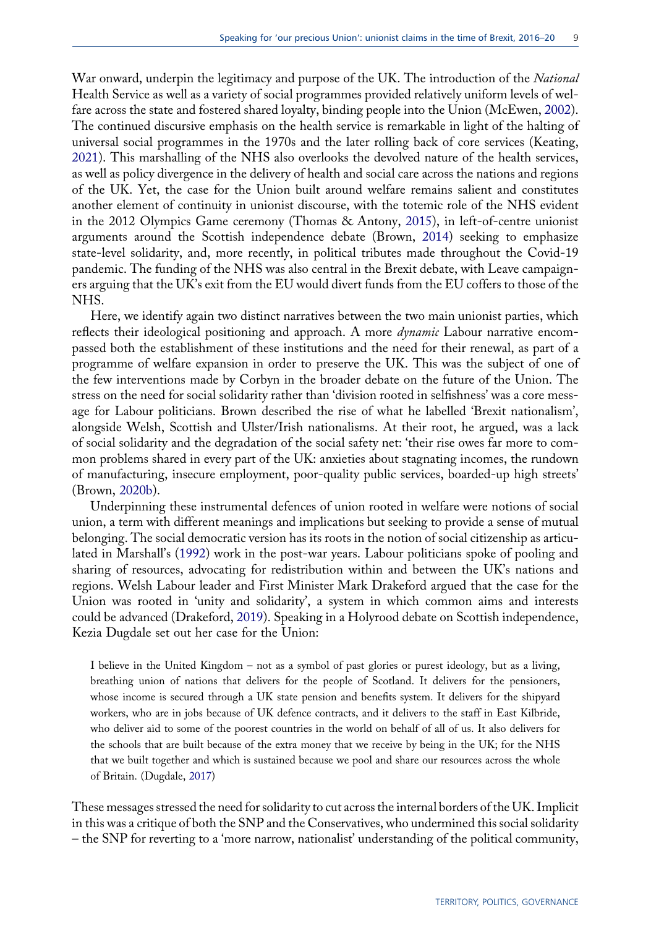<span id="page-9-5"></span>War onward, underpin the legitimacy and purpose of the UK. The introduction of the *National* Health Service as well as a variety of social programmes provided relatively uniform levels of welfare across the state and fostered shared loyalty, binding people into the Union (McEwen, [2002\)](#page-15-14). The continued discursive emphasis on the health service is remarkable in light of the halting of universal social programmes in the 1970s and the later rolling back of core services (Keating, [2021\)](#page-14-4). This marshalling of the NHS also overlooks the devolved nature of the health services, as well as policy divergence in the delivery of health and social care across the nations and regions of the UK. Yet, the case for the Union built around welfare remains salient and constitutes another element of continuity in unionist discourse, with the totemic role of the NHS evident in the 2012 Olympics Game ceremony (Thomas & Antony, [2015\)](#page-15-15), in left-of-centre unionist arguments around the Scottish independence debate (Brown, [2014](#page-14-22)) seeking to emphasize state-level solidarity, and, more recently, in political tributes made throughout the Covid-19 pandemic. The funding of the NHS was also central in the Brexit debate, with Leave campaigners arguing that the UK's exit from the EU would divert funds from the EU coffers to those of the NHS.

<span id="page-9-6"></span><span id="page-9-0"></span>Here, we identify again two distinct narratives between the two main unionist parties, which reflects their ideological positioning and approach. A more dynamic Labour narrative encompassed both the establishment of these institutions and the need for their renewal, as part of a programme of welfare expansion in order to preserve the UK. This was the subject of one of the few interventions made by Corbyn in the broader debate on the future of the Union. The stress on the need for social solidarity rather than 'division rooted in selfishness' was a core message for Labour politicians. Brown described the rise of what he labelled 'Brexit nationalism', alongside Welsh, Scottish and Ulster/Irish nationalisms. At their root, he argued, was a lack of social solidarity and the degradation of the social safety net: 'their rise owes far more to common problems shared in every part of the UK: anxieties about stagnating incomes, the rundown of manufacturing, insecure employment, poor-quality public services, boarded-up high streets' (Brown, [2020b\)](#page-14-23).

<span id="page-9-4"></span><span id="page-9-1"></span>Underpinning these instrumental defences of union rooted in welfare were notions of social union, a term with different meanings and implications but seeking to provide a sense of mutual belonging. The social democratic version has its roots in the notion of social citizenship as articulated in Marshall's ([1992\)](#page-15-16) work in the post-war years. Labour politicians spoke of pooling and sharing of resources, advocating for redistribution within and between the UK's nations and regions. Welsh Labour leader and First Minister Mark Drakeford argued that the case for the Union was rooted in 'unity and solidarity', a system in which common aims and interests could be advanced (Drakeford, [2019](#page-14-24)). Speaking in a Holyrood debate on Scottish independence, Kezia Dugdale set out her case for the Union:

<span id="page-9-2"></span>I believe in the United Kingdom – not as a symbol of past glories or purest ideology, but as a living, breathing union of nations that delivers for the people of Scotland. It delivers for the pensioners, whose income is secured through a UK state pension and benefits system. It delivers for the shipyard workers, who are in jobs because of UK defence contracts, and it delivers to the staff in East Kilbride, who deliver aid to some of the poorest countries in the world on behalf of all of us. It also delivers for the schools that are built because of the extra money that we receive by being in the UK; for the NHS that we built together and which is sustained because we pool and share our resources across the whole of Britain. (Dugdale, [2017](#page-14-25))

<span id="page-9-3"></span>These messages stressed the need for solidarity to cut across the internal borders of the UK. Implicit in this was a critique of both the SNP and the Conservatives, who undermined this social solidarity – the SNP for reverting to a 'more narrow, nationalist' understanding of the political community,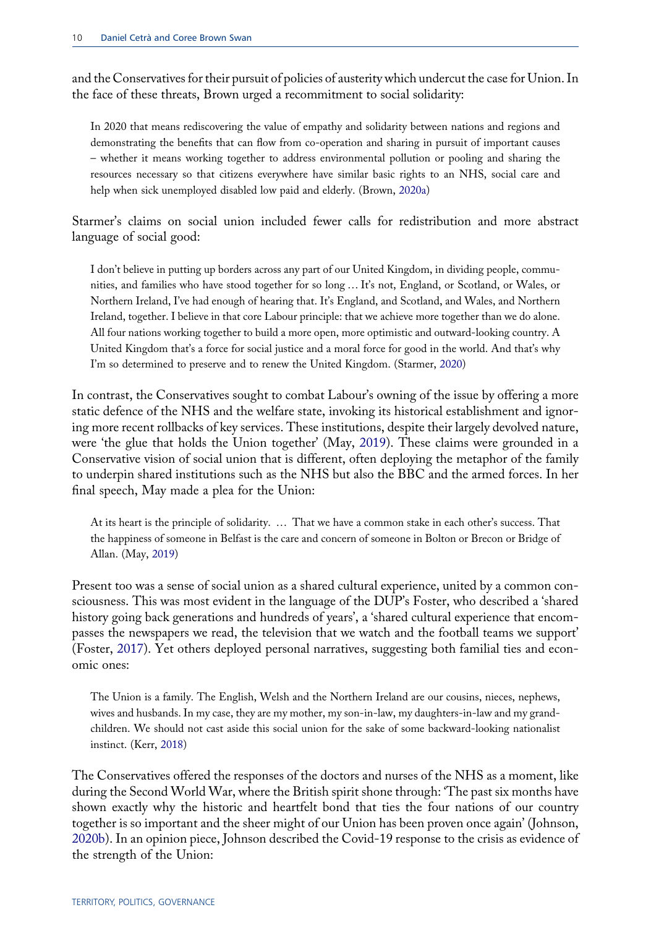and the Conservatives for their pursuit of policies of austerity which undercut the case for Union. In the face of these threats, Brown urged a recommitment to social solidarity:

In 2020 that means rediscovering the value of empathy and solidarity between nations and regions and demonstrating the benefits that can flow from co-operation and sharing in pursuit of important causes – whether it means working together to address environmental pollution or pooling and sharing the resources necessary so that citizens everywhere have similar basic rights to an NHS, social care and help when sick unemployed disabled low paid and elderly. (Brown, [2020a](#page-14-1))

Starmer's claims on social union included fewer calls for redistribution and more abstract language of social good:

I don't believe in putting up borders across any part of our United Kingdom, in dividing people, communities, and families who have stood together for so long … It's not, England, or Scotland, or Wales, or Northern Ireland, I've had enough of hearing that. It's England, and Scotland, and Wales, and Northern Ireland, together. I believe in that core Labour principle: that we achieve more together than we do alone. All four nations working together to build a more open, more optimistic and outward-looking country. A United Kingdom that's a force for social justice and a moral force for good in the world. And that's why I'm so determined to preserve and to renew the United Kingdom. (Starmer, [2020](#page-15-13))

In contrast, the Conservatives sought to combat Labour's owning of the issue by offering a more static defence of the NHS and the welfare state, invoking its historical establishment and ignoring more recent rollbacks of key services. These institutions, despite their largely devolved nature, were 'the glue that holds the Union together' (May, [2019\)](#page-15-8). These claims were grounded in a Conservative vision of social union that is different, often deploying the metaphor of the family to underpin shared institutions such as the NHS but also the BBC and the armed forces. In her final speech, May made a plea for the Union:

At its heart is the principle of solidarity. … That we have a common stake in each other's success. That the happiness of someone in Belfast is the care and concern of someone in Bolton or Brecon or Bridge of Allan. (May, [2019](#page-15-8))

Present too was a sense of social union as a shared cultural experience, united by a common consciousness. This was most evident in the language of the DUP's Foster, who described a 'shared history going back generations and hundreds of years', a 'shared cultural experience that encompasses the newspapers we read, the television that we watch and the football teams we support' (Foster, [2017\)](#page-14-17). Yet others deployed personal narratives, suggesting both familial ties and economic ones:

<span id="page-10-0"></span>The Union is a family. The English, Welsh and the Northern Ireland are our cousins, nieces, nephews, wives and husbands. In my case, they are my mother, my son-in-law, my daughters-in-law and my grandchildren. We should not cast aside this social union for the sake of some backward-looking nationalist instinct. (Kerr, [2018\)](#page-14-26)

The Conservatives offered the responses of the doctors and nurses of the NHS as a moment, like during the Second World War, where the British spirit shone through: 'The past six months have shown exactly why the historic and heartfelt bond that ties the four nations of our country together is so important and the sheer might of our Union has been proven once again' (Johnson, [2020b\)](#page-14-19). In an opinion piece, Johnson described the Covid-19 response to the crisis as evidence of the strength of the Union: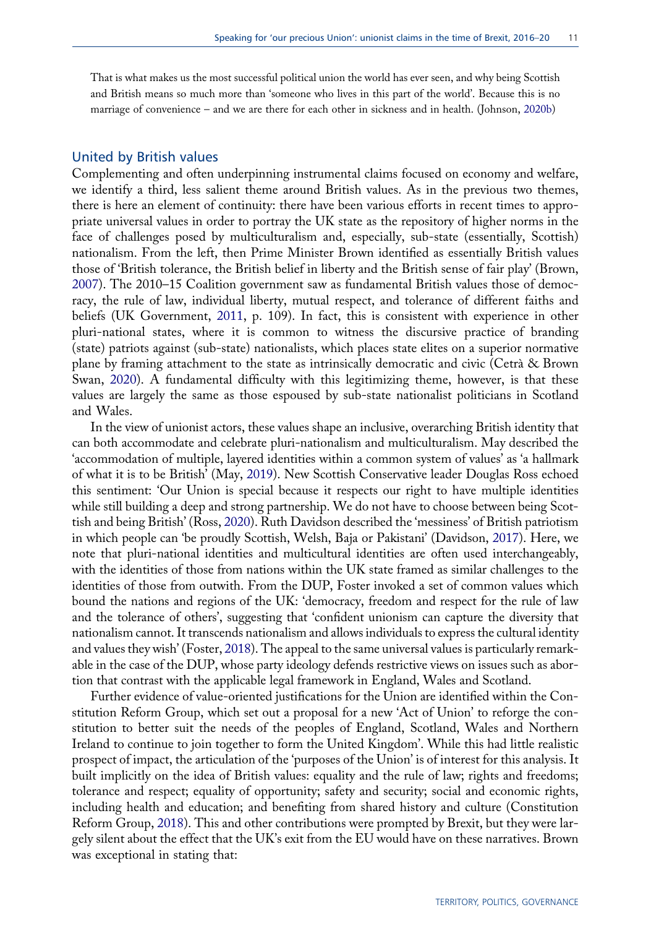That is what makes us the most successful political union the world has ever seen, and why being Scottish and British means so much more than 'someone who lives in this part of the world'. Because this is no marriage of convenience – and we are there for each other in sickness and in health. (Johnson, [2020b](#page-14-19))

#### United by British values

<span id="page-11-0"></span>Complementing and often underpinning instrumental claims focused on economy and welfare, we identify a third, less salient theme around British values. As in the previous two themes, there is here an element of continuity: there have been various efforts in recent times to appropriate universal values in order to portray the UK state as the repository of higher norms in the face of challenges posed by multiculturalism and, especially, sub-state (essentially, Scottish) nationalism. From the left, then Prime Minister Brown identified as essentially British values those of 'British tolerance, the British belief in liberty and the British sense of fair play' (Brown, [2007\)](#page-14-27). The 2010–15 Coalition government saw as fundamental British values those of democracy, the rule of law, individual liberty, mutual respect, and tolerance of different faiths and beliefs (UK Government, [2011](#page-15-17), p. 109). In fact, this is consistent with experience in other pluri-national states, where it is common to witness the discursive practice of branding (state) patriots against (sub-state) nationalists, which places state elites on a superior normative plane by framing attachment to the state as intrinsically democratic and civic (Cetrà & Brown Swan, [2020](#page-14-28)). A fundamental difficulty with this legitimizing theme, however, is that these values are largely the same as those espoused by sub-state nationalist politicians in Scotland and Wales.

<span id="page-11-4"></span><span id="page-11-1"></span>In the view of unionist actors, these values shape an inclusive, overarching British identity that can both accommodate and celebrate pluri-nationalism and multiculturalism. May described the 'accommodation of multiple, layered identities within a common system of values' as 'a hallmark of what it is to be British' (May, [2019\)](#page-15-8). New Scottish Conservative leader Douglas Ross echoed this sentiment: 'Our Union is special because it respects our right to have multiple identities while still building a deep and strong partnership. We do not have to choose between being Scottish and being British' (Ross, [2020\)](#page-15-11). Ruth Davidson described the 'messiness' of British patriotism in which people can 'be proudly Scottish, Welsh, Baja or Pakistani' (Davidson, [2017](#page-14-14)). Here, we note that pluri-national identities and multicultural identities are often used interchangeably, with the identities of those from nations within the UK state framed as similar challenges to the identities of those from outwith. From the DUP, Foster invoked a set of common values which bound the nations and regions of the UK: 'democracy, freedom and respect for the rule of law and the tolerance of others', suggesting that 'confident unionism can capture the diversity that nationalism cannot. It transcends nationalism and allows individuals to express the cultural identity and values they wish' (Foster, [2018](#page-14-29)). The appeal to the same universal values is particularly remarkable in the case of the DUP, whose party ideology defends restrictive views on issues such as abortion that contrast with the applicable legal framework in England, Wales and Scotland.

<span id="page-11-3"></span><span id="page-11-2"></span>Further evidence of value-oriented justifications for the Union are identified within the Constitution Reform Group, which set out a proposal for a new 'Act of Union' to reforge the constitution to better suit the needs of the peoples of England, Scotland, Wales and Northern Ireland to continue to join together to form the United Kingdom'. While this had little realistic prospect of impact, the articulation of the 'purposes of the Union' is of interest for this analysis. It built implicitly on the idea of British values: equality and the rule of law; rights and freedoms; tolerance and respect; equality of opportunity; safety and security; social and economic rights, including health and education; and benefiting from shared history and culture (Constitution Reform Group, [2018](#page-14-30)). This and other contributions were prompted by Brexit, but they were largely silent about the effect that the UK's exit from the EU would have on these narratives. Brown was exceptional in stating that: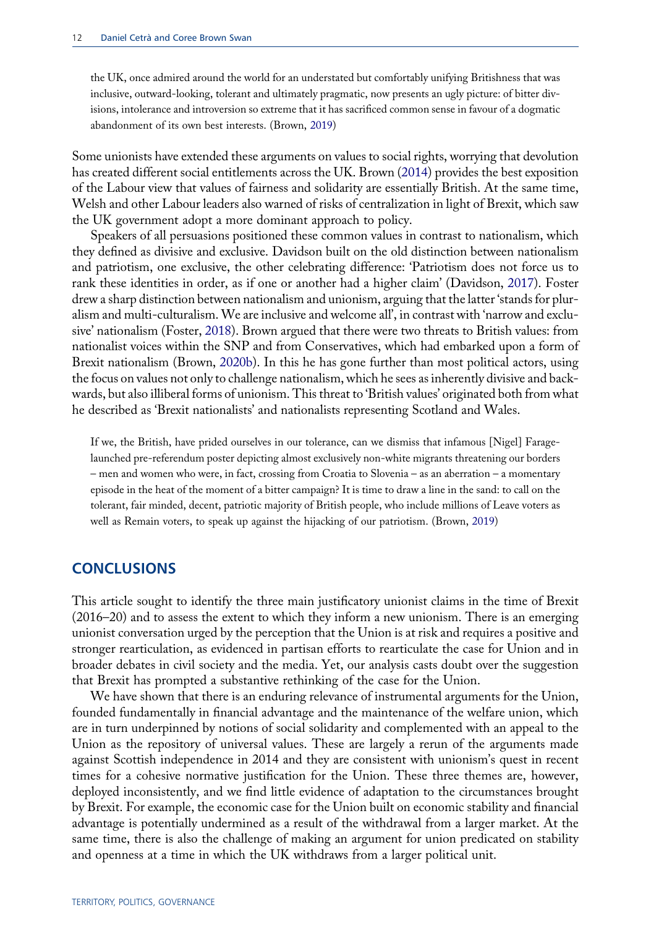the UK, once admired around the world for an understated but comfortably unifying Britishness that was inclusive, outward-looking, tolerant and ultimately pragmatic, now presents an ugly picture: of bitter divisions, intolerance and introversion so extreme that it has sacrificed common sense in favour of a dogmatic abandonment of its own best interests. (Brown, [2019](#page-14-13))

Some unionists have extended these arguments on values to social rights, worrying that devolution has created different social entitlements across the UK. Brown [\(2014](#page-14-22)) provides the best exposition of the Labour view that values of fairness and solidarity are essentially British. At the same time, Welsh and other Labour leaders also warned of risks of centralization in light of Brexit, which saw the UK government adopt a more dominant approach to policy.

Speakers of all persuasions positioned these common values in contrast to nationalism, which they defined as divisive and exclusive. Davidson built on the old distinction between nationalism and patriotism, one exclusive, the other celebrating difference: 'Patriotism does not force us to rank these identities in order, as if one or another had a higher claim' (Davidson, [2017\)](#page-14-14). Foster drew a sharp distinction between nationalism and unionism, arguing that the latter 'stands for pluralism and multi-culturalism. We are inclusive and welcome all', in contrast with 'narrow and exclusive' nationalism (Foster, [2018](#page-14-29)). Brown argued that there were two threats to British values: from nationalist voices within the SNP and from Conservatives, which had embarked upon a form of Brexit nationalism (Brown, [2020b](#page-14-23)). In this he has gone further than most political actors, using the focus on values not only to challenge nationalism, which he sees as inherently divisive and backwards, but also illiberal forms of unionism. This threat to 'British values' originated both from what he described as 'Brexit nationalists' and nationalists representing Scotland and Wales.

If we, the British, have prided ourselves in our tolerance, can we dismiss that infamous [Nigel] Faragelaunched pre-referendum poster depicting almost exclusively non-white migrants threatening our borders – men and women who were, in fact, crossing from Croatia to Slovenia – as an aberration – a momentary episode in the heat of the moment of a bitter campaign? It is time to draw a line in the sand: to call on the tolerant, fair minded, decent, patriotic majority of British people, who include millions of Leave voters as well as Remain voters, to speak up against the hijacking of our patriotism. (Brown, [2019\)](#page-14-13)

#### **CONCLUSIONS**

This article sought to identify the three main justificatory unionist claims in the time of Brexit (2016–20) and to assess the extent to which they inform a new unionism. There is an emerging unionist conversation urged by the perception that the Union is at risk and requires a positive and stronger rearticulation, as evidenced in partisan efforts to rearticulate the case for Union and in broader debates in civil society and the media. Yet, our analysis casts doubt over the suggestion that Brexit has prompted a substantive rethinking of the case for the Union.

We have shown that there is an enduring relevance of instrumental arguments for the Union, founded fundamentally in financial advantage and the maintenance of the welfare union, which are in turn underpinned by notions of social solidarity and complemented with an appeal to the Union as the repository of universal values. These are largely a rerun of the arguments made against Scottish independence in 2014 and they are consistent with unionism's quest in recent times for a cohesive normative justification for the Union. These three themes are, however, deployed inconsistently, and we find little evidence of adaptation to the circumstances brought by Brexit. For example, the economic case for the Union built on economic stability and financial advantage is potentially undermined as a result of the withdrawal from a larger market. At the same time, there is also the challenge of making an argument for union predicated on stability and openness at a time in which the UK withdraws from a larger political unit.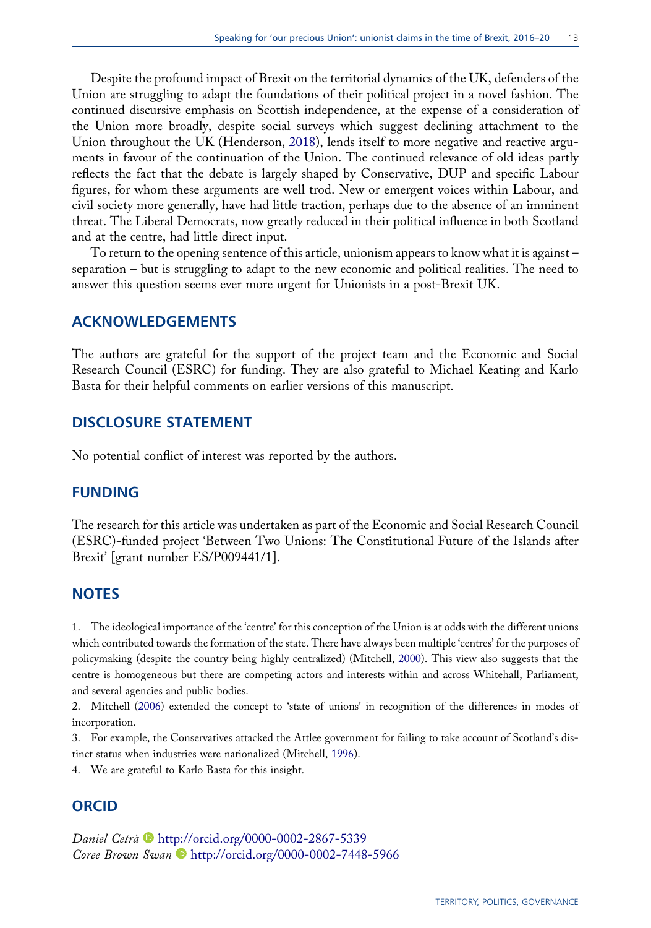<span id="page-13-4"></span>Despite the profound impact of Brexit on the territorial dynamics of the UK, defenders of the Union are struggling to adapt the foundations of their political project in a novel fashion. The continued discursive emphasis on Scottish independence, at the expense of a consideration of the Union more broadly, despite social surveys which suggest declining attachment to the Union throughout the UK (Henderson, [2018](#page-14-31)), lends itself to more negative and reactive arguments in favour of the continuation of the Union. The continued relevance of old ideas partly reflects the fact that the debate is largely shaped by Conservative, DUP and specific Labour figures, for whom these arguments are well trod. New or emergent voices within Labour, and civil society more generally, have had little traction, perhaps due to the absence of an imminent threat. The Liberal Democrats, now greatly reduced in their political influence in both Scotland and at the centre, had little direct input.

To return to the opening sentence of this article, unionism appears to know what it is against – separation – but is struggling to adapt to the new economic and political realities. The need to answer this question seems ever more urgent for Unionists in a post-Brexit UK.

#### ACKNOWLEDGEMENTS

The authors are grateful for the support of the project team and the Economic and Social Research Council (ESRC) for funding. They are also grateful to Michael Keating and Karlo Basta for their helpful comments on earlier versions of this manuscript.

# DISCLOSURE STATEMENT

No potential conflict of interest was reported by the authors.

### FUNDING

The research for this article was undertaken as part of the Economic and Social Research Council (ESRC)-funded project 'Between Two Unions: The Constitutional Future of the Islands after Brexit' [grant number ES/P009441/1].

### **NOTES**

<span id="page-13-5"></span><span id="page-13-0"></span>1. The ideological importance of the 'centre' for this conception of the Union is at odds with the different unions which contributed towards the formation of the state. There have always been multiple 'centres' for the purposes of policymaking (despite the country being highly centralized) (Mitchell, [2000](#page-15-18)). This view also suggests that the centre is homogeneous but there are competing actors and interests within and across Whitehall, Parliament, and several agencies and public bodies.

<span id="page-13-1"></span>2. Mitchell ([2006\)](#page-15-19) extended the concept to 'state of unions' in recognition of the differences in modes of incorporation.

<span id="page-13-2"></span>3. For example, the Conservatives attacked the Attlee government for failing to take account of Scotland's distinct status when industries were nationalized (Mitchell, [1996](#page-15-5)).

<span id="page-13-3"></span>4. We are grateful to Karlo Basta for this insight.

# ORCID

Daniel Cetrà <sup>b</sup> <http://orcid.org/0000-0002-2867-5339> Coree Brown Swan **b** <http://orcid.org/0000-0002-7448-5966>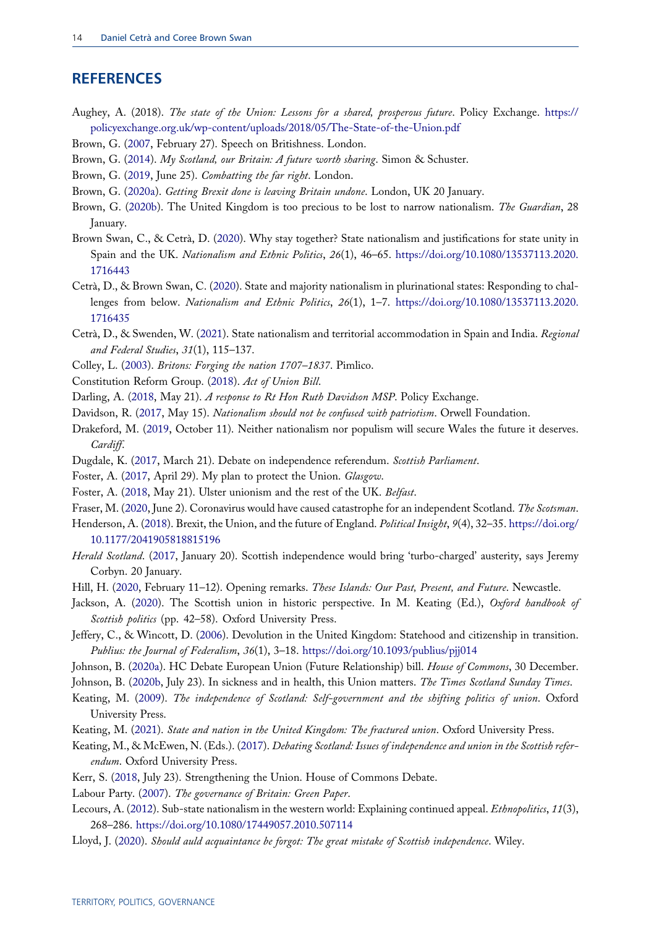# **REFERENCES**

- <span id="page-14-3"></span>Aughey, A. (2018). The state of the Union: Lessons for a shared, prosperous future. Policy Exchange. [https://](https://policyexchange.org.uk/wp-content/uploads/2018/05/The-State-of-the-Union.pdf) [policyexchange.org.uk/wp-content/uploads/2018/05/The-State-of-the-Union.pdf](https://policyexchange.org.uk/wp-content/uploads/2018/05/The-State-of-the-Union.pdf)
- <span id="page-14-27"></span><span id="page-14-22"></span>Brown, G. ([2007,](#page-11-0) February 27). Speech on Britishness. London.
- <span id="page-14-13"></span>Brown, G. ([2014\)](#page-9-0). My Scotland, our Britain: A future worth sharing. Simon & Schuster.
- <span id="page-14-1"></span>Brown, G. ([2019,](#page-6-1) June 25). Combatting the far right. London.
- <span id="page-14-23"></span>Brown, G. ([2020a\)](#page-2-0). Getting Brexit done is leaving Britain undone. London, UK 20 January.
- Brown, G. ([2020b](#page-9-1)). The United Kingdom is too precious to be lost to narrow nationalism. The Guardian, 28 January.
- <span id="page-14-12"></span>Brown Swan, C., & Cetrà, D. ([2020\)](#page-4-0). Why stay together? State nationalism and justifications for state unity in Spain and the UK. Nationalism and Ethnic Politics, 26(1), 46–65. [https://doi.org/10.1080/13537113.2020.](https://doi.org/10.1080/13537113.2020.1716443) [1716443](https://doi.org/10.1080/13537113.2020.1716443)
- <span id="page-14-28"></span>Cetrà, D., & Brown Swan, C. ([2020\)](#page-11-1). State and majority nationalism in plurinational states: Responding to challenges from below. Nationalism and Ethnic Politics, 26(1), 1–7. [https://doi.org/10.1080/13537113.2020.](https://doi.org/10.1080/13537113.2020.1716435) [1716435](https://doi.org/10.1080/13537113.2020.1716435)
- <span id="page-14-6"></span>Cetrà, D., & Swenden, W. ([2021\)](#page-4-1). State nationalism and territorial accommodation in Spain and India. Regional and Federal Studies, 31(1), 115–137.
- <span id="page-14-30"></span><span id="page-14-16"></span>Colley, L. ([2003\)](#page-7-0). Britons: Forging the nation 1707–1837. Pimlico.
- <span id="page-14-10"></span>Constitution Reform Group. [\(2018](#page-11-2)). Act of Union Bill.
- <span id="page-14-14"></span>Darling, A. ([2018,](#page-4-2) May 21). A response to Rt Hon Ruth Davidson MSP. Policy Exchange.
- <span id="page-14-24"></span>Davidson, R. [\(2017](#page-6-2), May 15). Nationalism should not be confused with patriotism. Orwell Foundation.
- Drakeford, M. [\(2019](#page-9-2), October 11). Neither nationalism nor populism will secure Wales the future it deserves. Cardiff.
- <span id="page-14-25"></span><span id="page-14-17"></span>Dugdale, K. [\(2017](#page-9-3), March 21). Debate on independence referendum. Scottish Parliament.
- <span id="page-14-29"></span>Foster, A. ([2017,](#page-8-0) April 29). My plan to protect the Union. Glasgow.
- <span id="page-14-20"></span>Foster, A. ([2018,](#page-11-3) May 21). Ulster unionism and the rest of the UK. Belfast.
- <span id="page-14-31"></span>Fraser, M. ([2020,](#page-8-1) June 2). Coronavirus would have caused catastrophe for an independent Scotland. The Scotsman.

Henderson, A. ([2018\)](#page-13-4). Brexit, the Union, and the future of England. Political Insight, 9(4), 32–35. [https://doi.org/](https://doi.org/10.1177/2041905818815196) [10.1177/2041905818815196](https://doi.org/10.1177/2041905818815196)

- <span id="page-14-21"></span>Herald Scotland. ([2017,](#page-8-2) January 20). Scottish independence would bring 'turbo-charged' austerity, says Jeremy Corbyn. 20 January.
- <span id="page-14-5"></span><span id="page-14-0"></span>Hill, H. ([2020,](#page-1-0) February 11-12). Opening remarks. These Islands: Our Past, Present, and Future. Newcastle.
- Jackson, A. ([2020\)](#page-3-0). The Scottish union in historic perspective. In M. Keating (Ed.), Oxford handbook of Scottish politics (pp. 42–58). Oxford University Press.
- <span id="page-14-8"></span>Jeffery, C., & Wincott, D. [\(2006](#page-4-3)). Devolution in the United Kingdom: Statehood and citizenship in transition. Publius: the Journal of Federalism, 36(1), 3-18. <https://doi.org/10.1093/publius/pjj014>
- <span id="page-14-19"></span><span id="page-14-18"></span>Johnson, B. [\(2020a\)](#page-8-3). HC Debate European Union (Future Relationship) bill. House of Commons, 30 December.
- <span id="page-14-2"></span>Johnson, B. [\(2020b,](#page-8-4) July 23). In sickness and in health, this Union matters. The Times Scotland Sunday Times.
- Keating, M. [\(2009](#page-3-1)). The independence of Scotland: Self-government and the shifting politics of union. Oxford University Press.
- <span id="page-14-11"></span><span id="page-14-4"></span>Keating, M. [\(2021](#page-3-2)). State and nation in the United Kingdom: The fractured union. Oxford University Press.
- Keating, M., & McEwen, N. (Eds.). [\(2017\)](#page-4-4). Debating Scotland: Issues of independence and union in the Scottish referendum. Oxford University Press.
- <span id="page-14-26"></span><span id="page-14-9"></span>Kerr, S. ([2018,](#page-10-0) July 23). Strengthening the Union. House of Commons Debate.
- <span id="page-14-7"></span>Labour Party. ([2007\)](#page-4-5). The governance of Britain: Green Paper.
- Lecours, A. ([2012\)](#page-4-6). Sub-state nationalism in the western world: Explaining continued appeal. Ethnopolitics, 11(3), 268–286. <https://doi.org/10.1080/17449057.2010.507114>
- <span id="page-14-15"></span>Lloyd, J. ([2020\)](#page-7-1). Should auld acquaintance be forgot: The great mistake of Scottish independence. Wiley.